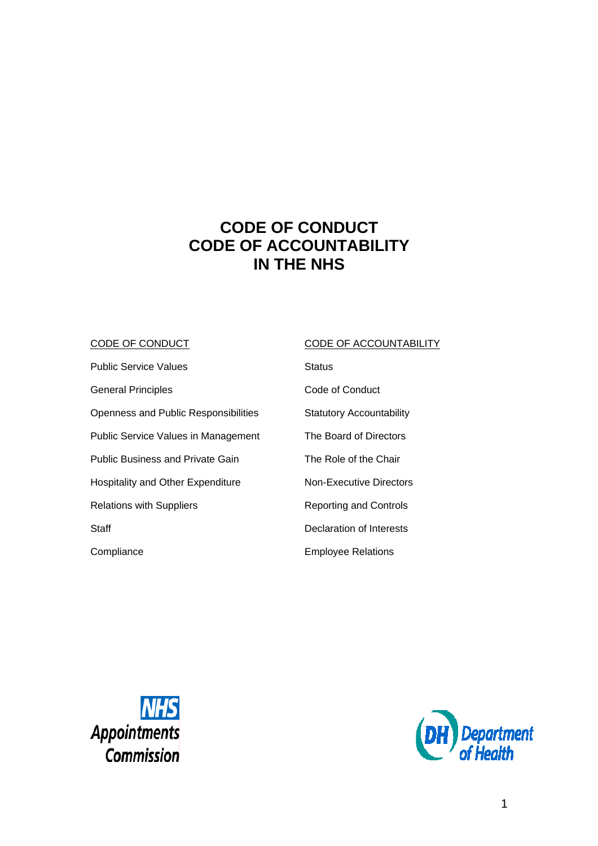# **CODE OF CONDUCT CODE OF ACCOUNTABILITY IN THE NHS**

# CODE OF CONDUCT

Public Service Values General Principles Openness and Public Responsibilities Public Service Values in Management Public Business and Private Gain Hospitality and Other Expenditure Relations with Suppliers **Staff Compliance** 

# CODE OF ACCOUNTABILITY

**Status** Code of Conduct Statutory Accountability The Board of Directors The Role of the Chair Non-Executive Directors Reporting and Controls Declaration of Interests Employee Relations



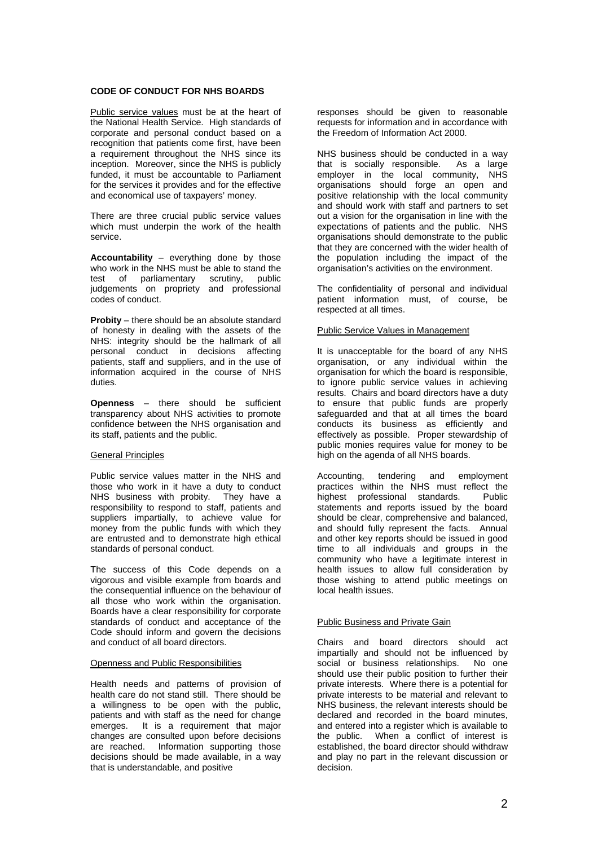# **CODE OF CONDUCT FOR NHS BOARDS**

Public service values must be at the heart of the National Health Service. High standards of corporate and personal conduct based on a recognition that patients come first, have been a requirement throughout the NHS since its inception. Moreover, since the NHS is publicly funded, it must be accountable to Parliament for the services it provides and for the effective and economical use of taxpayers' money.

There are three crucial public service values which must underpin the work of the health service.

**Accountability** – everything done by those who work in the NHS must be able to stand the test of parliamentary scrutiny, public judgements on propriety and professional codes of conduct.

**Probity** – there should be an absolute standard of honesty in dealing with the assets of the NHS: integrity should be the hallmark of all personal conduct in decisions affecting patients, staff and suppliers, and in the use of information acquired in the course of NHS duties.

**Openness** – there should be sufficient transparency about NHS activities to promote confidence between the NHS organisation and its staff, patients and the public.

# General Principles

Public service values matter in the NHS and those who work in it have a duty to conduct NHS business with probity. They have a responsibility to respond to staff, patients and suppliers impartially, to achieve value for money from the public funds with which they are entrusted and to demonstrate high ethical standards of personal conduct.

The success of this Code depends on a vigorous and visible example from boards and the consequential influence on the behaviour of all those who work within the organisation. Boards have a clear responsibility for corporate standards of conduct and acceptance of the Code should inform and govern the decisions and conduct of all board directors.

## Openness and Public Responsibilities

Health needs and patterns of provision of health care do not stand still. There should be a willingness to be open with the public, patients and with staff as the need for change emerges. It is a requirement that major changes are consulted upon before decisions are reached. Information supporting those decisions should be made available, in a way that is understandable, and positive

responses should be given to reasonable requests for information and in accordance with the Freedom of Information Act 2000.

NHS business should be conducted in a way that is socially responsible. As a large employer in the local community, NHS organisations should forge an open and positive relationship with the local community and should work with staff and partners to set out a vision for the organisation in line with the expectations of patients and the public. NHS organisations should demonstrate to the public that they are concerned with the wider health of the population including the impact of the organisation's activities on the environment.

The confidentiality of personal and individual patient information must, of course, be respected at all times.

## Public Service Values in Management

It is unacceptable for the board of any NHS organisation, or any individual within the organisation for which the board is responsible, to ignore public service values in achieving results. Chairs and board directors have a duty to ensure that public funds are properly safeguarded and that at all times the board conducts its business as efficiently and effectively as possible. Proper stewardship of public monies requires value for money to be high on the agenda of all NHS boards.

Accounting, tendering and employment practices within the NHS must reflect the highest professional standards. Public statements and reports issued by the board should be clear, comprehensive and balanced, and should fully represent the facts. Annual and other key reports should be issued in good time to all individuals and groups in the community who have a legitimate interest in health issues to allow full consideration by those wishing to attend public meetings on local health issues.

# Public Business and Private Gain

Chairs and board directors should act impartially and should not be influenced by social or business relationships. No one should use their public position to further their private interests. Where there is a potential for private interests to be material and relevant to NHS business, the relevant interests should be declared and recorded in the board minutes, and entered into a register which is available to the public. When a conflict of interest is established, the board director should withdraw and play no part in the relevant discussion or decision.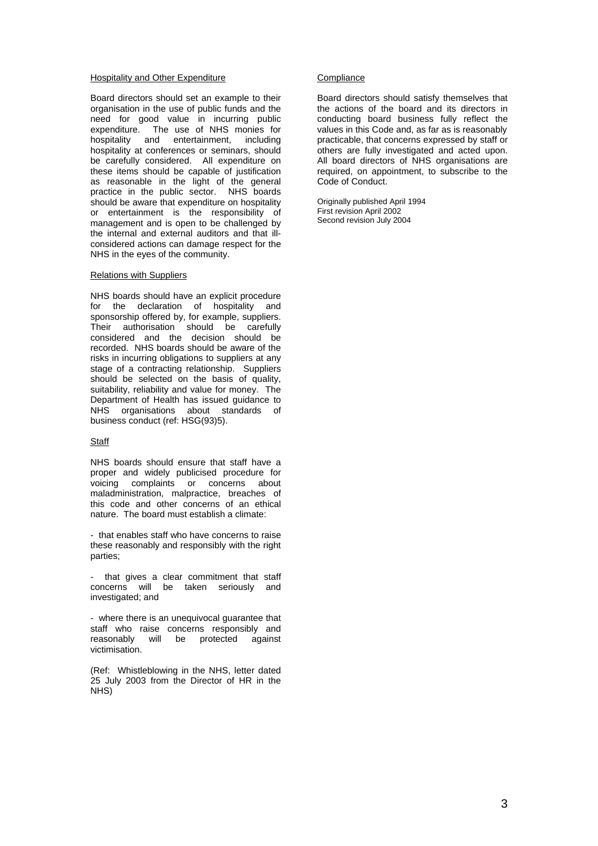#### Hospitality and Other Expenditure

Board directors should set an example to their organisation in the use of public funds and the need for good value in incurring public expenditure. The use of NHS monies for hospitality and entertainment, including hospitality at conferences or seminars, should be carefully considered. All expenditure on these items should be capable of justification as reasonable in the light of the general practice in the public sector. NHS boards should be aware that expenditure on hospitality or entertainment is the responsibility of management and is open to be challenged by the internal and external auditors and that illconsidered actions can damage respect for the NHS in the eyes of the community.

#### Relations with Suppliers

NHS boards should have an explicit procedure for the declaration of hospitality and sponsorship offered by, for example, suppliers. Their authorisation should be carefully considered and the decision should be recorded. NHS boards should be aware of the risks in incurring obligations to suppliers at any stage of a contracting relationship. Suppliers should be selected on the basis of quality, suitability, reliability and value for money. The Department of Health has issued guidance to NHS organisations about standards of business conduct (ref: HSG(93)5).

## **Staff**

NHS boards should ensure that staff have a proper and widely publicised procedure for voicing complaints or concerns about maladministration, malpractice, breaches of this code and other concerns of an ethical nature. The board must establish a climate:

- that enables staff who have concerns to raise these reasonably and responsibly with the right parties;

- that gives a clear commitment that staff concerns will be taken seriously and investigated; and

- where there is an unequivocal guarantee that staff who raise concerns responsibly and<br>reasonably will be protected against protected against victimisation.

(Ref: Whistleblowing in the NHS, letter dated 25 July 2003 from the Director of HR in the NHS)

#### **Compliance**

Board directors should satisfy themselves that the actions of the board and its directors in conducting board business fully reflect the values in this Code and, as far as is reasonably practicable, that concerns expressed by staff or others are fully investigated and acted upon. All board directors of NHS organisations are required, on appointment, to subscribe to the Code of Conduct.

Originally published April 1994 First revision April 2002 Second revision July 2004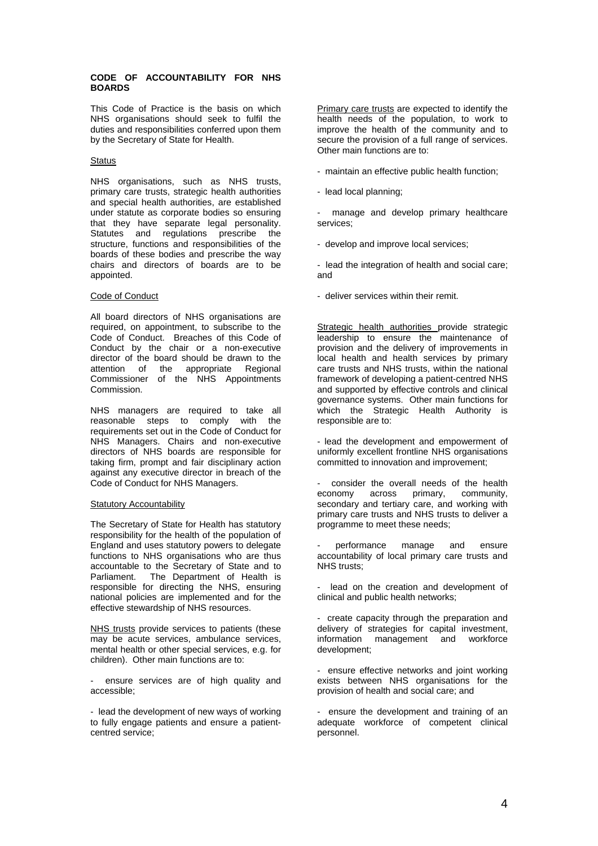# **CODE OF ACCOUNTABILITY FOR NHS BOARDS**

This Code of Practice is the basis on which NHS organisations should seek to fulfil the duties and responsibilities conferred upon them by the Secretary of State for Health.

#### **Status**

NHS organisations, such as NHS trusts, primary care trusts, strategic health authorities and special health authorities, are established under statute as corporate bodies so ensuring that they have separate legal personality. Statutes and regulations prescribe the structure, functions and responsibilities of the boards of these bodies and prescribe the way chairs and directors of boards are to be appointed.

#### Code of Conduct

All board directors of NHS organisations are required, on appointment, to subscribe to the Code of Conduct. Breaches of this Code of Conduct by the chair or a non-executive director of the board should be drawn to the attention of the appropriate Regional Commissioner of the NHS Appointments Commission.

NHS managers are required to take all reasonable steps to comply with the requirements set out in the Code of Conduct for NHS Managers. Chairs and non-executive directors of NHS boards are responsible for taking firm, prompt and fair disciplinary action against any executive director in breach of the Code of Conduct for NHS Managers.

#### Statutory Accountability

The Secretary of State for Health has statutory responsibility for the health of the population of England and uses statutory powers to delegate functions to NHS organisations who are thus accountable to the Secretary of State and to<br>Parliament. The Department of Health is The Department of Health is responsible for directing the NHS, ensuring national policies are implemented and for the effective stewardship of NHS resources.

NHS trusts provide services to patients (these may be acute services, ambulance services, mental health or other special services, e.g. for children). Other main functions are to:

ensure services are of high quality and accessible;

- lead the development of new ways of working to fully engage patients and ensure a patientcentred service;

Primary care trusts are expected to identify the health needs of the population, to work to improve the health of the community and to secure the provision of a full range of services. Other main functions are to:

- maintain an effective public health function;
- lead local planning;

manage and develop primary healthcare services;

- develop and improve local services;

- lead the integration of health and social care; and

- deliver services within their remit.

Strategic health authorities provide strategic leadership to ensure the maintenance of provision and the delivery of improvements in local health and health services by primary care trusts and NHS trusts, within the national framework of developing a patient-centred NHS and supported by effective controls and clinical governance systems. Other main functions for which the Strategic Health Authority is responsible are to:

- lead the development and empowerment of uniformly excellent frontline NHS organisations committed to innovation and improvement;

- consider the overall needs of the health economy across primary, community, secondary and tertiary care, and working with primary care trusts and NHS trusts to deliver a programme to meet these needs;

- performance manage and ensure accountability of local primary care trusts and NHS trusts;

lead on the creation and development of clinical and public health networks;

- create capacity through the preparation and delivery of strategies for capital investment, information management and workforce development;

ensure effective networks and joint working exists between NHS organisations for the provision of health and social care; and

ensure the development and training of an adequate workforce of competent clinical personnel.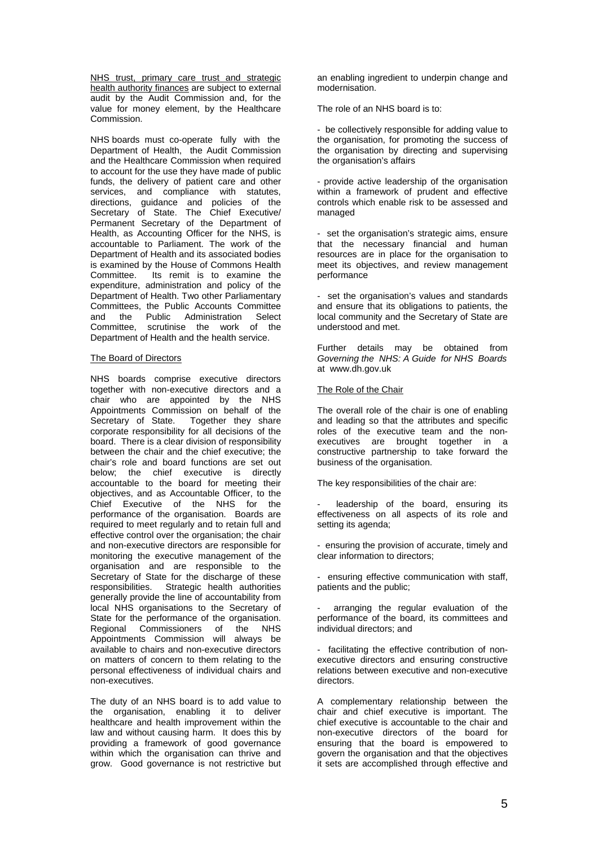NHS trust, primary care trust and strategic health authority finances are subject to external audit by the Audit Commission and, for the value for money element, by the Healthcare Commission.

NHS boards must co-operate fully with the Department of Health, the Audit Commission and the Healthcare Commission when required to account for the use they have made of public funds, the delivery of patient care and other services, and compliance with statutes, directions, guidance and policies of the Secretary of State. The Chief Executive/ Permanent Secretary of the Department of Health, as Accounting Officer for the NHS, is accountable to Parliament. The work of the Department of Health and its associated bodies is examined by the House of Commons Health Committee. Its remit is to examine the expenditure, administration and policy of the Department of Health. Two other Parliamentary Committees, the Public Accounts Committee and the Public Administration Select Committee, scrutinise the work of the Department of Health and the health service.

# The Board of Directors

NHS boards comprise executive directors together with non-executive directors and a chair who are appointed by the NHS Appointments Commission on behalf of the Secretary of State. Together they share corporate responsibility for all decisions of the board. There is a clear division of responsibility between the chair and the chief executive; the chair's role and board functions are set out below; the chief executive is directly accountable to the board for meeting their objectives, and as Accountable Officer, to the Chief Executive of the NHS for the performance of the organisation. Boards are required to meet regularly and to retain full and effective control over the organisation; the chair and non-executive directors are responsible for monitoring the executive management of the organisation and are responsible to the Secretary of State for the discharge of these responsibilities. Strategic health authorities generally provide the line of accountability from local NHS organisations to the Secretary of State for the performance of the organisation. Regional Commissioners of the NHS Appointments Commission will always be available to chairs and non-executive directors on matters of concern to them relating to the personal effectiveness of individual chairs and non-executives.

The duty of an NHS board is to add value to the organisation, enabling it to deliver healthcare and health improvement within the law and without causing harm. It does this by providing a framework of good governance within which the organisation can thrive and grow. Good governance is not restrictive but

an enabling ingredient to underpin change and modernisation.

The role of an NHS board is to:

- be collectively responsible for adding value to the organisation, for promoting the success of the organisation by directing and supervising the organisation's affairs

- provide active leadership of the organisation within a framework of prudent and effective controls which enable risk to be assessed and managed

- set the organisation's strategic aims, ensure that the necessary financial and human resources are in place for the organisation to meet its objectives, and review management performance

- set the organisation's values and standards and ensure that its obligations to patients, the local community and the Secretary of State are understood and met.

Further details may be obtained from *Governing the NHS: A Guide for NHS Boards* at www.dh.gov.uk

# The Role of the Chair

The overall role of the chair is one of enabling and leading so that the attributes and specific roles of the executive team and the nonexecutives are brought together in a constructive partnership to take forward the business of the organisation.

The key responsibilities of the chair are:

leadership of the board, ensuring its effectiveness on all aspects of its role and setting its agenda;

- ensuring the provision of accurate, timely and clear information to directors;

- ensuring effective communication with staff, patients and the public;

arranging the regular evaluation of the performance of the board, its committees and individual directors; and

- facilitating the effective contribution of nonexecutive directors and ensuring constructive relations between executive and non-executive directors.

A complementary relationship between the chair and chief executive is important. The chief executive is accountable to the chair and non-executive directors of the board for ensuring that the board is empowered to govern the organisation and that the objectives it sets are accomplished through effective and